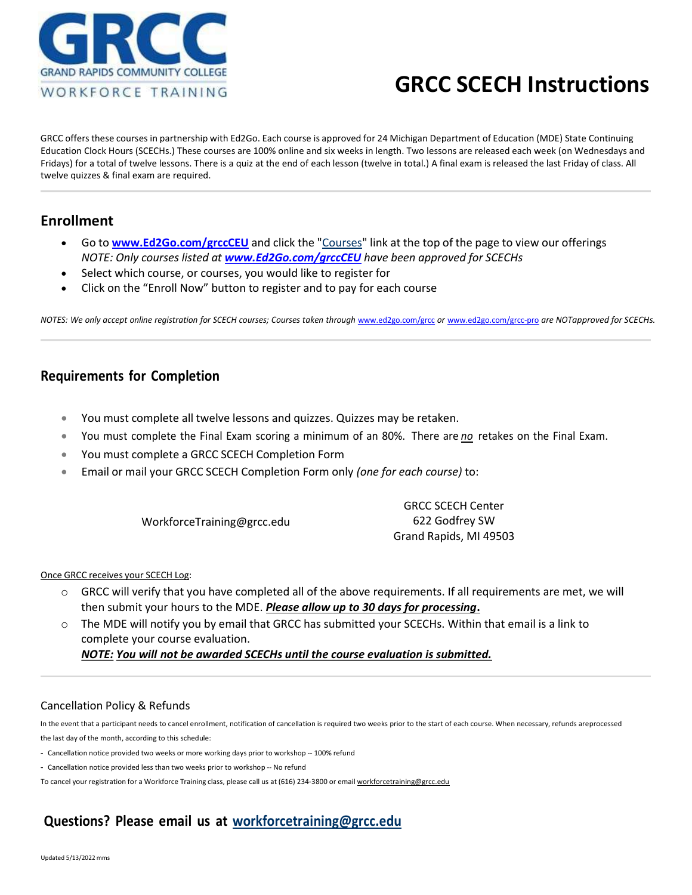

## GRCC SCECH Instructions

GRCC offers these courses in partnership with Ed2Go. Each course is approved for 24 Michigan Department of Education (MDE) State Continuing Education Clock Hours (SCECHs.) These courses are 100% online and six weeks in length. Two lessons are released each week (on Wednesdays and Fridays) for a total of twelve lessons. There is a quiz at the end of each lesson (twelve in total.) A final exam is released the last Friday of class. All twelve quizzes & final exam are required.

### Enrollment

- Go to **www.Ed2Go.com/grccCEU** and click the "Courses" link at the top of the page to view our offerings NOTE: Only courses listed at www.Ed2Go.com/grccCEU have been approved for SCECHs
- Select which course, or courses, you would like to register for
- Click on the "Enroll Now" button to register and to pay for each course

NOTES: We only accept online registration for SCECH courses; Courses taken through www.ed2go.com/grcc or www.ed2go.com/grcc-pro are NOT approved for SCECHs.

## Requirements for Completion

- You must complete all twelve lessons and quizzes. Quizzes may be retaken.
- You must complete the Final Exam scoring a minimum of an 80%. There are no retakes on the Final Exam.
- You must complete a GRCC SCECH Completion Form
- Email or mail your GRCC SCECH Completion Form only (one for each course) to:

WorkforceTraining@grcc.edu

GRCC SCECH Center 622 Godfrey SW Grand Rapids, MI 49503

#### Once GRCC receives your SCECH Log:

- $\circ$  GRCC will verify that you have completed all of the above requirements. If all requirements are met, we will then submit your hours to the MDE. Please allow up to 30 days for processing.
- o The MDE will notify you by email that GRCC has submitted your SCECHs. Within that email is a link to complete your course evaluation.

NOTE: You will not be awarded SCECHs until the course evaluation is submitted.

#### Cancellation Policy & Refunds

In the event that a participant needs to cancel enrollment, notification of cancellation is required two weeks prior to the start of each course. When necessary, refunds are processed the last day of the month, according to this schedule:

- Cancellation notice provided two weeks or more working days prior to workshop -- 100% refund

- Cancellation notice provided less than two weeks prior to workshop -- No refund

To cancel your registration for a Workforce Training class, please call us at (616) 234-3800 or email workforcetraining@grcc.edu

## Questions? Please email us at workforcetraining@grcc.edu